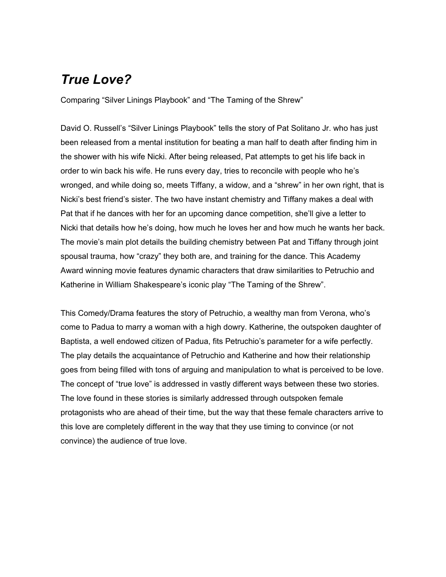## *True Love?*

Comparing "Silver Linings Playbook" and "The Taming of the Shrew"

David O. Russell's "Silver Linings Playbook" tells the story of Pat Solitano Jr. who has just been released from a mental institution for beating a man half to death after finding him in the shower with his wife Nicki. After being released, Pat attempts to get his life back in order to win back his wife. He runs every day, tries to reconcile with people who he's wronged, and while doing so, meets Tiffany, a widow, and a "shrew" in her own right, that is Nicki's best friend's sister. The two have instant chemistry and Tiffany makes a deal with Pat that if he dances with her for an upcoming dance competition, she'll give a letter to Nicki that details how he's doing, how much he loves her and how much he wants her back. The movie's main plot details the building chemistry between Pat and Tiffany through joint spousal trauma, how "crazy" they both are, and training for the dance. This Academy Award winning movie features dynamic characters that draw similarities to Petruchio and Katherine in William Shakespeare's iconic play "The Taming of the Shrew".

This Comedy/Drama features the story of Petruchio, a wealthy man from Verona, who's come to Padua to marry a woman with a high dowry. Katherine, the outspoken daughter of Baptista, a well endowed citizen of Padua, fits Petruchio's parameter for a wife perfectly. The play details the acquaintance of Petruchio and Katherine and how their relationship goes from being filled with tons of arguing and manipulation to what is perceived to be love. The concept of "true love" is addressed in vastly different ways between these two stories. The love found in these stories is similarly addressed through outspoken female protagonists who are ahead of their time, but the way that these female characters arrive to this love are completely different in the way that they use timing to convince (or not convince) the audience of true love.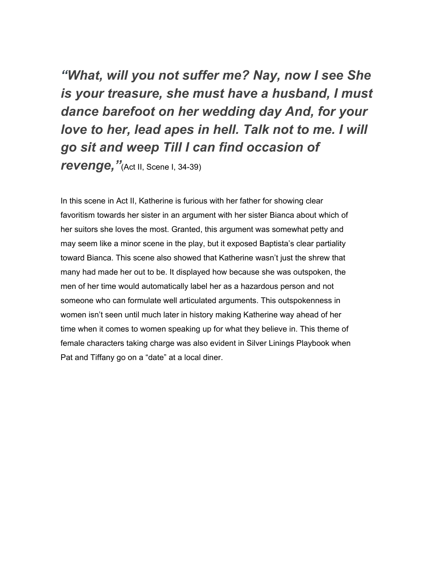*"What, will you not suffer me? Nay, now I see She is your treasure, she must have a husband, I must dance barefoot on her wedding day And, for your love to her, lead apes in hell. Talk not to me. I will go sit and weep Till I can find occasion of* **revenge,** "(Act II, Scene I, 34-39)

In this scene in Act II, Katherine is furious with her father for showing clear favoritism towards her sister in an argument with her sister Bianca about which of her suitors she loves the most. Granted, this argument was somewhat petty and may seem like a minor scene in the play, but it exposed Baptista's clear partiality toward Bianca. This scene also showed that Katherine wasn't just the shrew that many had made her out to be. It displayed how because she was outspoken, the men of her time would automatically label her as a hazardous person and not someone who can formulate well articulated arguments. This outspokenness in women isn't seen until much later in history making Katherine way ahead of her time when it comes to women speaking up for what they believe in. This theme of female characters taking charge was also evident in Silver Linings Playbook when Pat and Tiffany go on a "date" at a local diner.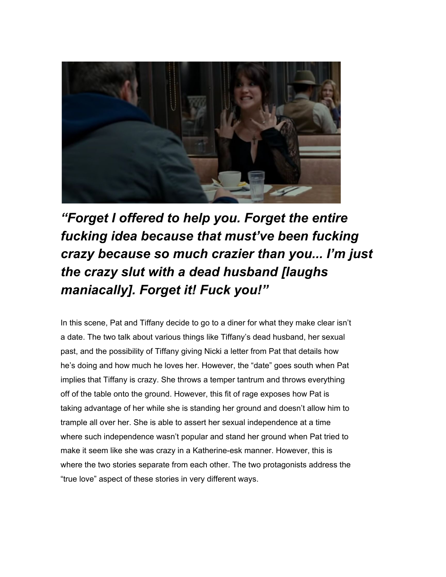

*"Forget I offered to help you. Forget the entire fucking idea because that must've been fucking crazy because so much crazier than you... I'm just the crazy slut with a dead husband [laughs maniacally]. Forget it! Fuck you!"*

In this scene, Pat and Tiffany decide to go to a diner for what they make clear isn't a date. The two talk about various things like Tiffany's dead husband, her sexual past, and the possibility of Tiffany giving Nicki a letter from Pat that details how he's doing and how much he loves her. However, the "date" goes south when Pat implies that Tiffany is crazy. She throws a temper tantrum and throws everything off of the table onto the ground. However, this fit of rage exposes how Pat is taking advantage of her while she is standing her ground and doesn't allow him to trample all over her. She is able to assert her sexual independence at a time where such independence wasn't popular and stand her ground when Pat tried to make it seem like she was crazy in a Katherine-esk manner. However, this is where the two stories separate from each other. The two protagonists address the "true love" aspect of these stories in very different ways.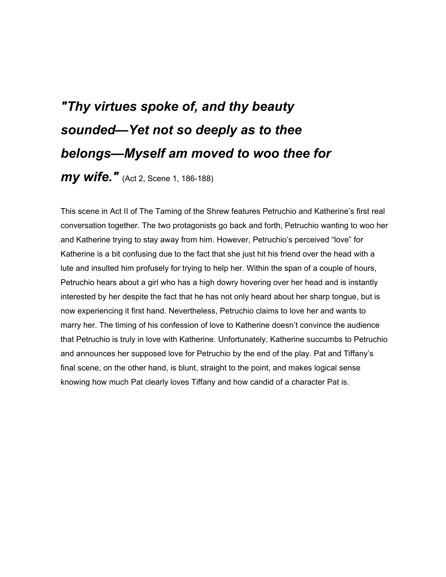## *"Thy virtues spoke of, and thy beauty sounded—Yet not so deeply as to thee belongs—Myself am moved to woo thee for*

*my wife."* (Act 2, Scene 1, 186-188)

This scene in Act II of The Taming of the Shrew features Petruchio and Katherine's first real conversation together. The two protagonists go back and forth, Petruchio wanting to woo her and Katherine trying to stay away from him. However, Petruchio's perceived "love" for Katherine is a bit confusing due to the fact that she just hit his friend over the head with a lute and insulted him profusely for trying to help her. Within the span of a couple of hours, Petruchio hears about a girl who has a high dowry hovering over her head and is instantly interested by her despite the fact that he has not only heard about her sharp tongue, but is now experiencing it first hand. Nevertheless, Petruchio claims to love her and wants to marry her. The timing of his confession of love to Katherine doesn't convince the audience that Petruchio is truly in love with Katherine. Unfortunately, Katherine succumbs to Petruchio and announces her supposed love for Petruchio by the end of the play. Pat and Tiffany's final scene, on the other hand, is blunt, straight to the point, and makes logical sense knowing how much Pat clearly loves Tiffany and how candid of a character Pat is.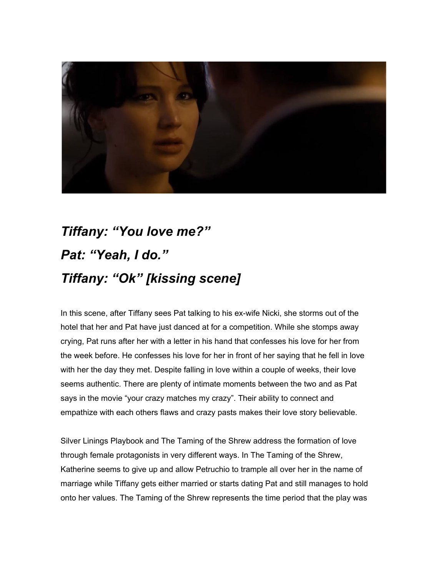

## *Tiffany: "You love me?" Pat: "Yeah, I do." Tiffany: "Ok" [kissing scene]*

In this scene, after Tiffany sees Pat talking to his ex-wife Nicki, she storms out of the hotel that her and Pat have just danced at for a competition. While she stomps away crying, Pat runs after her with a letter in his hand that confesses his love for her from the week before. He confesses his love for her in front of her saying that he fell in love with her the day they met. Despite falling in love within a couple of weeks, their love seems authentic. There are plenty of intimate moments between the two and as Pat says in the movie "your crazy matches my crazy". Their ability to connect and empathize with each others flaws and crazy pasts makes their love story believable.

Silver Linings Playbook and The Taming of the Shrew address the formation of love through female protagonists in very different ways. In The Taming of the Shrew, Katherine seems to give up and allow Petruchio to trample all over her in the name of marriage while Tiffany gets either married or starts dating Pat and still manages to hold onto her values. The Taming of the Shrew represents the time period that the play was